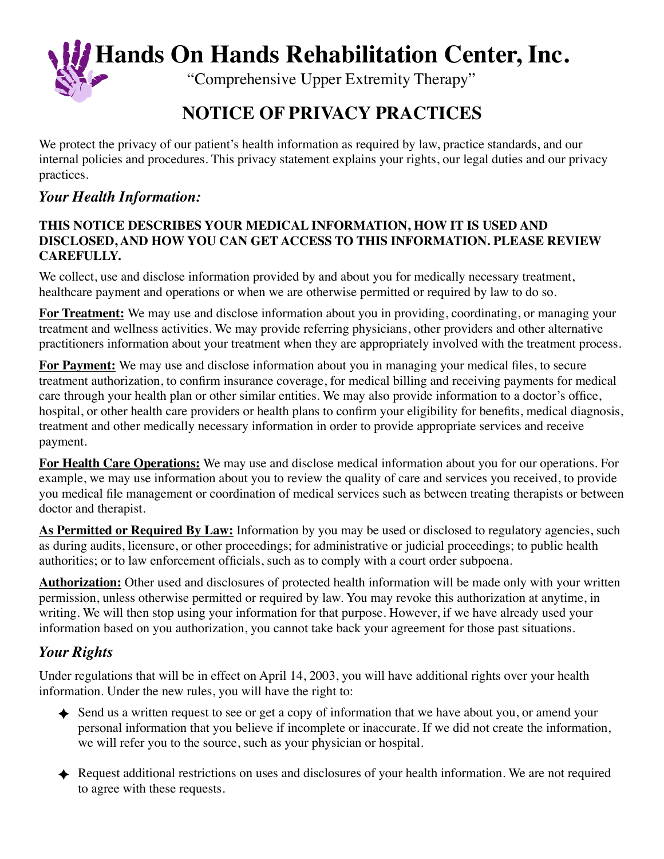**Hands On Hands Rehabilitation Center, Inc.**

"Comprehensive Upper Extremity Therapy"

# **NOTICE OF PRIVACY PRACTICES**

We protect the privacy of our patient's health information as required by law, practice standards, and our internal policies and procedures. This privacy statement explains your rights, our legal duties and our privacy practices.

### *Your Health Information:*

#### **THIS NOTICE DESCRIBES YOUR MEDICAL INFORMATION, HOW IT IS USED AND DISCLOSED, AND HOW YOU CAN GET ACCESS TO THIS INFORMATION. PLEASE REVIEW CAREFULLY.**

We collect, use and disclose information provided by and about you for medically necessary treatment, healthcare payment and operations or when we are otherwise permitted or required by law to do so.

**For Treatment:** We may use and disclose information about you in providing, coordinating, or managing your treatment and wellness activities. We may provide referring physicians, other providers and other alternative practitioners information about your treatment when they are appropriately involved with the treatment process.

**For Payment:** We may use and disclose information about you in managing your medical files, to secure treatment authorization, to confirm insurance coverage, for medical billing and receiving payments for medical care through your health plan or other similar entities. We may also provide information to a doctor's office, hospital, or other health care providers or health plans to confirm your eligibility for benefits, medical diagnosis, treatment and other medically necessary information in order to provide appropriate services and receive payment.

**For Health Care Operations:** We may use and disclose medical information about you for our operations. For example, we may use information about you to review the quality of care and services you received, to provide you medical file management or coordination of medical services such as between treating therapists or between doctor and therapist.

**As Permitted or Required By Law:** Information by you may be used or disclosed to regulatory agencies, such as during audits, licensure, or other proceedings; for administrative or judicial proceedings; to public health authorities; or to law enforcement officials, such as to comply with a court order subpoena.

**Authorization:** Other used and disclosures of protected health information will be made only with your written permission, unless otherwise permitted or required by law. You may revoke this authorization at anytime, in writing. We will then stop using your information for that purpose. However, if we have already used your information based on you authorization, you cannot take back your agreement for those past situations.

## *Your Rights*

Under regulations that will be in effect on April 14, 2003, you will have additional rights over your health information. Under the new rules, you will have the right to:

- ◆ Send us a written request to see or get a copy of information that we have about you, or amend your personal information that you believe if incomplete or inaccurate. If we did not create the information, we will refer you to the source, such as your physician or hospital.
- Request additional restrictions on uses and disclosures of your health information. We are not required to agree with these requests.